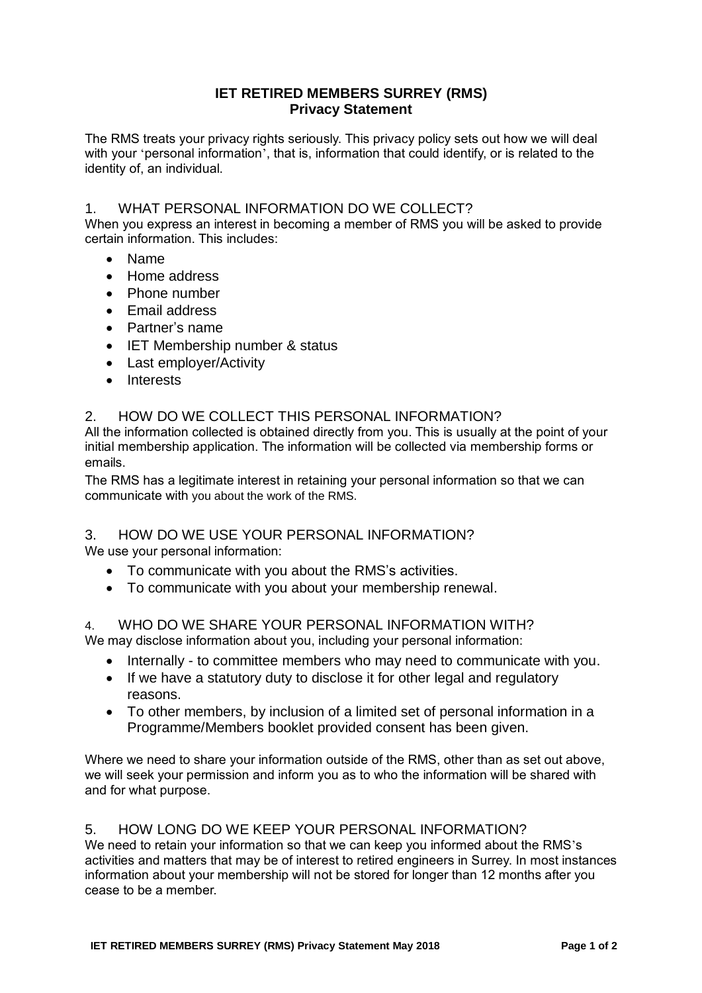## **IET RETIRED MEMBERS SURREY (RMS) Privacy Statement**

The RMS treats your privacy rights seriously. This privacy policy sets out how we will deal with your 'personal information', that is, information that could identify, or is related to the identity of, an individual.

# 1. WHAT PERSONAL INFORMATION DO WE COLLECT?

When you express an interest in becoming a member of RMS you will be asked to provide certain information. This includes:

- Name
- Home address
- Phone number
- Email address
- Partner's name
- IET Membership number & status
- Last employer/Activity
- Interests

## 2. HOW DO WE COLLECT THIS PERSONAL INFORMATION?

All the information collected is obtained directly from you. This is usually at the point of your initial membership application. The information will be collected via membership forms or emails.

The RMS has a legitimate interest in retaining your personal information so that we can communicate with you about the work of the RMS.

## 3. HOW DO WE USE YOUR PERSONAL INFORMATION?

We use your personal information:

- To communicate with you about the RMS's activities.
- To communicate with you about your membership renewal.

## 4. WHO DO WE SHARE YOUR PERSONAL INFORMATION WITH?

We may disclose information about you, including your personal information:

- Internally to committee members who may need to communicate with you.
- If we have a statutory duty to disclose it for other legal and regulatory reasons.
- To other members, by inclusion of a limited set of personal information in a Programme/Members booklet provided consent has been given.

Where we need to share your information outside of the RMS, other than as set out above, we will seek your permission and inform you as to who the information will be shared with and for what purpose.

## 5. HOW LONG DO WE KEEP YOUR PERSONAL INFORMATION?

We need to retain your information so that we can keep you informed about the RMS's activities and matters that may be of interest to retired engineers in Surrey. In most instances information about your membership will not be stored for longer than 12 months after you cease to be a member.